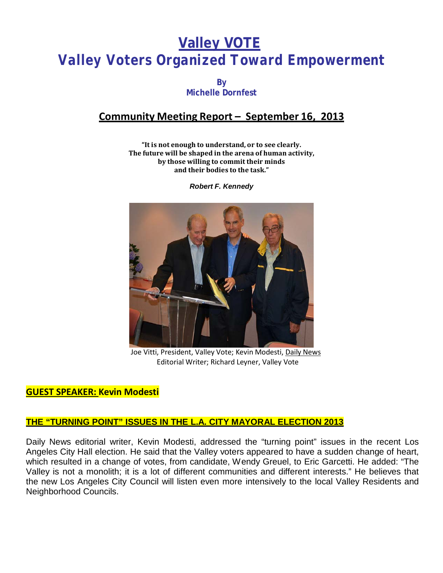# **Valley VOTE** *Valley Voters Organized Toward Empowerment*

**By Michelle Dornfest**

# **Community Meeting Report – September 16, 2013**

**"It is not enough to understand, or to see clearly. The future will be shaped in the arena of human activity, by those willing to commit their minds and their bodies to the task."**

*Robert F. Kennedy*



Joe Vitti, President, Valley Vote; Kevin Modesti, Daily News Editorial Writer; Richard Leyner, Valley Vote

### **GUEST SPEAKER: Kevin Modesti**

### **THE "TURNING POINT" ISSUES IN THE L.A. CITY MAYORAL ELECTION 2013**

Daily News editorial writer, Kevin Modesti, addressed the "turning point" issues in the recent Los Angeles City Hall election. He said that the Valley voters appeared to have a sudden change of heart, which resulted in a change of votes, from candidate, Wendy Greuel, to Eric Garcetti. He added: "The Valley is not a monolith; it is a lot of different communities and different interests." He believes that the new Los Angeles City Council will listen even more intensively to the local Valley Residents and Neighborhood Councils.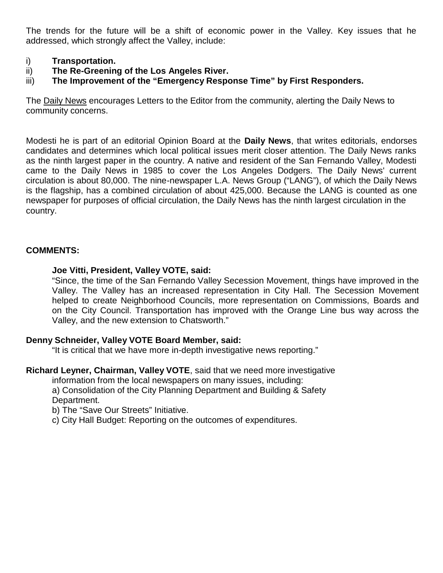The trends for the future will be a shift of economic power in the Valley. Key issues that he addressed, which strongly affect the Valley, include:

#### i) **Transportation.**

- ii) **The Re-Greening of the Los Angeles River.**
- iii) **The Improvement of the "Emergency Response Time" by First Responders.**

The Daily News encourages Letters to the Editor from the community, alerting the Daily News to community concerns.

Modesti he is part of an editorial Opinion Board at the **Daily News**, that writes editorials, endorses candidates and determines which local political issues merit closer attention. The Daily News ranks as the ninth largest paper in the country. A native and resident of the San Fernando Valley, Modesti came to the Daily News in 1985 to cover the Los Angeles Dodgers. The Daily News' current circulation is about 80,000. The nine-newspaper L.A. News Group ("LANG"), of which the Daily News is the flagship, has a combined circulation of about 425,000. Because the LANG is counted as one newspaper for purposes of official circulation, the Daily News has the ninth largest circulation in the country.

#### **COMMENTS:**

#### **Joe Vitti, President, Valley VOTE, said:**

"Since, the time of the San Fernando Valley Secession Movement, things have improved in the Valley. The Valley has an increased representation in City Hall. The Secession Movement helped to create Neighborhood Councils, more representation on Commissions, Boards and on the City Council. Transportation has improved with the Orange Line bus way across the Valley, and the new extension to Chatsworth."

#### **Denny Schneider, Valley VOTE Board Member, said:**

"It is critical that we have more in-depth investigative news reporting."

**Richard Leyner, Chairman, Valley VOTE**, said that we need more investigative

information from the local newspapers on many issues, including:

a) Consolidation of the City Planning Department and Building & Safety Department.

b) The "Save Our Streets" Initiative.

c) City Hall Budget: Reporting on the outcomes of expenditures.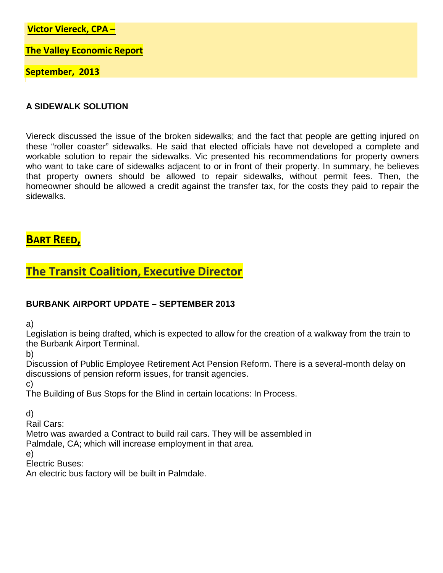**Victor Viereck, CPA –**

**The Valley Economic Report**

**September, 2013**

#### **A SIDEWALK SOLUTION**

Viereck discussed the issue of the broken sidewalks; and the fact that people are getting injured on these "roller coaster" sidewalks. He said that elected officials have not developed a complete and workable solution to repair the sidewalks. Vic presented his recommendations for property owners who want to take care of sidewalks adjacent to or in front of their property. In summary, he believes that property owners should be allowed to repair sidewalks, without permit fees. Then, the homeowner should be allowed a credit against the transfer tax, for the costs they paid to repair the sidewalks.

# **BART REED,**

# **The Transit Coalition, Executive Director**

### **BURBANK AIRPORT UPDATE – SEPTEMBER 2013**

a)

Legislation is being drafted, which is expected to allow for the creation of a walkway from the train to the Burbank Airport Terminal.

b)

Discussion of Public Employee Retirement Act Pension Reform. There is a several-month delay on discussions of pension reform issues, for transit agencies.

c)

The Building of Bus Stops for the Blind in certain locations: In Process.

d)

Rail Cars:

Metro was awarded a Contract to build rail cars. They will be assembled in Palmdale, CA; which will increase employment in that area.

e)

Electric Buses:

An electric bus factory will be built in Palmdale.